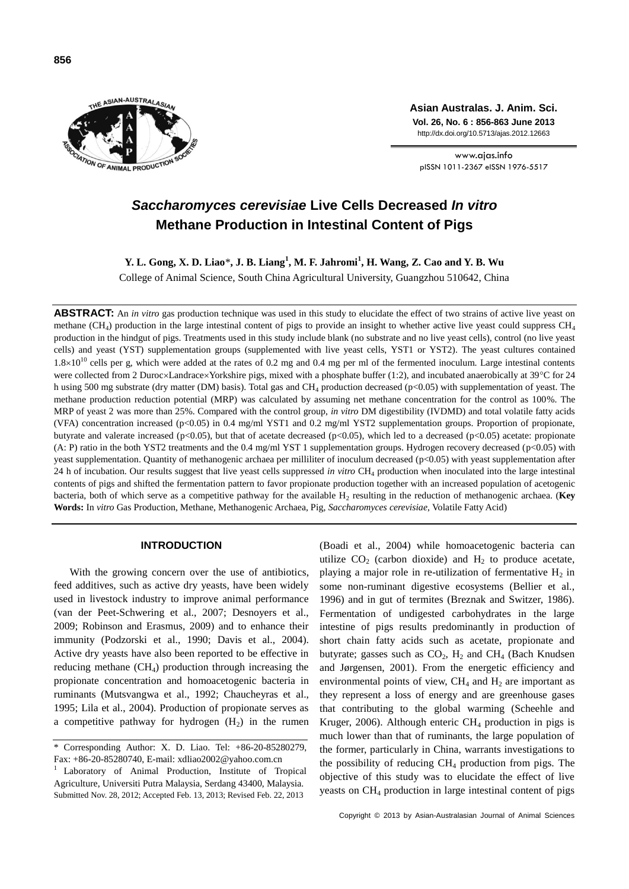

**Asian Australas. J. Anim. Sci. Vol. 26, No. 6 : 856-863 June 2013** http://dx.doi.org/10.5713/ajas.2012.12663

www.ajas.info pISSN 1011-2367 eISSN 1976-5517

# *Saccharomyces cerevisiae* **Live Cells Decreased** *In vitro* **Methane Production in Intestinal Content of Pigs**

**Y. L. Gong, X. D. Liao**\***, J. B. Liang<sup>1</sup> , M. F. Jahromi<sup>1</sup> , H. Wang, Z. Cao and Y. B. Wu**

College of Animal Science, South China Agricultural University, Guangzhou 510642, China

**ABSTRACT:** An *in vitro* gas production technique was used in this study to elucidate the effect of two strains of active live yeast on methane (CH<sub>4</sub>) production in the large intestinal content of pigs to provide an insight to whether active live yeast could suppress CH<sub>4</sub> production in the hindgut of pigs. Treatments used in this study include blank (no substrate and no live yeast cells), control (no live yeast cells) and yeast (YST) supplementation groups (supplemented with live yeast cells, YST1 or YST2). The yeast cultures contained  $1.8\times10^{10}$  cells per g, which were added at the rates of 0.2 mg and 0.4 mg per ml of the fermented inoculum. Large intestinal contents were collected from 2 Duroc×Landrace×Yorkshire pigs, mixed with a phosphate buffer (1:2), and incubated anaerobically at 39°C for 24 h using 500 mg substrate (dry matter (DM) basis). Total gas and CH<sub>4</sub> production decreased (p<0.05) with supplementation of yeast. The methane production reduction potential (MRP) was calculated by assuming net methane concentration for the control as 100%. The MRP of yeast 2 was more than 25%. Compared with the control group, *in vitro* DM digestibility (IVDMD) and total volatile fatty acids (VFA) concentration increased (p<0.05) in 0.4 mg/ml YST1 and 0.2 mg/ml YST2 supplementation groups. Proportion of propionate, butyrate and valerate increased ( $p<0.05$ ), but that of acetate decreased ( $p<0.05$ ), which led to a decreased ( $p<0.05$ ) acetate: propionate (A: P) ratio in the both YST2 treatments and the 0.4 mg/ml YST 1 supplementation groups. Hydrogen recovery decreased (p<0.05) with yeast supplementation. Quantity of methanogenic archaea per milliliter of inoculum decreased (p<0.05) with yeast supplementation after 24 h of incubation. Our results suggest that live yeast cells suppressed *in vitro* CH<sup>4</sup> production when inoculated into the large intestinal contents of pigs and shifted the fermentation pattern to favor propionate production together with an increased population of acetogenic bacteria, both of which serve as a competitive pathway for the available H<sub>2</sub> resulting in the reduction of methanogenic archaea. (Key **Words:** In *vitro* Gas Production, Methane, Methanogenic Archaea, Pig, *Saccharomyces cerevisiae*, Volatile Fatty Acid)

## **INTRODUCTION**

With the growing concern over the use of antibiotics, feed additives, such as active dry yeasts, have been widely used in livestock industry to improve animal performance (van der Peet-Schwering et al., 2007; Desnoyers et al., 2009; Robinson and Erasmus, 2009) and to enhance their immunity (Podzorski et al., 1990; Davis et al., 2004). Active dry yeasts have also been reported to be effective in reducing methane  $(CH<sub>4</sub>)$  production through increasing the propionate concentration and homoacetogenic bacteria in ruminants (Mutsvangwa et al., 1992; Chaucheyras et al., 1995; Lila et al., 2004). Production of propionate serves as a competitive pathway for hydrogen  $(H<sub>2</sub>)$  in the rumen (Boadi et al., 2004) while homoacetogenic bacteria can utilize  $CO<sub>2</sub>$  (carbon dioxide) and  $H<sub>2</sub>$  to produce acetate, playing a major role in re-utilization of fermentative  $H_2$  in some non-ruminant digestive ecosystems (Bellier et al., 1996) and in gut of termites (Breznak and Switzer, 1986). Fermentation of undigested carbohydrates in the large intestine of pigs results predominantly in production of short chain fatty acids such as acetate, propionate and butyrate; gasses such as  $CO<sub>2</sub>$ , H<sub>2</sub> and CH<sub>4</sub> (Bach Knudsen and Jørgensen, 2001). From the energetic efficiency and environmental points of view,  $CH_4$  and  $H_2$  are important as they represent a loss of energy and are greenhouse gases that contributing to the global warming (Scheehle and Kruger, 2006). Although enteric  $CH_4$  production in pigs is much lower than that of ruminants, the large population of the former, particularly in China, warrants investigations to the possibility of reducing  $CH_4$  production from pigs. The objective of this study was to elucidate the effect of live yeasts on CH<sub>4</sub> production in large intestinal content of pigs

<sup>\*</sup> Corresponding Author: X. D. Liao. Tel: +86-20-85280279, Fax: +86-20-85280740, E-mail: xdliao2002@yahoo.com.cn

<sup>1</sup>Laboratory of Animal Production, Institute of Tropical Agriculture, Universiti Putra Malaysia, Serdang 43400, Malaysia. Submitted Nov. 28, 2012; Accepted Feb. 13, 2013; Revised Feb. 22, 2013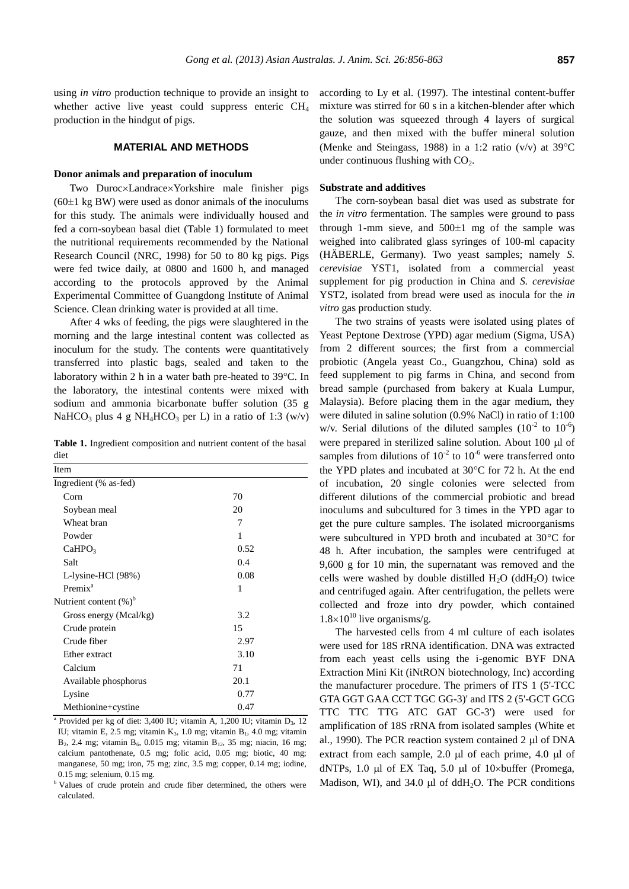using *in vitro* production technique to provide an insight to whether active live yeast could suppress enteric  $CH<sub>4</sub>$ production in the hindgut of pigs.

# **MATERIAL AND METHODS**

#### **Donor animals and preparation of inoculum**

Two Duroc×Landrace×Yorkshire male finisher pigs  $(60±1 \text{ kg BW})$  were used as donor animals of the inoculums for this study. The animals were individually housed and fed a corn-soybean basal diet (Table 1) formulated to meet the nutritional requirements recommended by the National Research Council (NRC, 1998) for 50 to 80 kg pigs. Pigs were fed twice daily, at 0800 and 1600 h, and managed according to the protocols approved by the Animal Experimental Committee of Guangdong Institute of Animal Science. Clean drinking water is provided at all time.

After 4 wks of feeding, the pigs were slaughtered in the morning and the large intestinal content was collected as inoculum for the study. The contents were quantitatively transferred into plastic bags, sealed and taken to the laboratory within 2 h in a water bath pre-heated to  $39^{\circ}$ C. In the laboratory, the intestinal contents were mixed with sodium and ammonia bicarbonate buffer solution (35 g NaHCO<sub>3</sub> plus 4 g NH<sub>4</sub>HCO<sub>3</sub> per L) in a ratio of 1:3 (w/v)

**Table 1.** Ingredient composition and nutrient content of the basal diet

| Item                      |      |  |
|---------------------------|------|--|
| Ingredient (% as-fed)     |      |  |
| Corn                      | 70   |  |
| Soybean meal              | 20   |  |
| Wheat bran                | 7    |  |
| Powder                    | 1    |  |
| CaHPO <sub>3</sub>        | 0.52 |  |
| Salt                      | 0.4  |  |
| L-lysine-HCl (98%)        | 0.08 |  |
| Premix <sup>a</sup>       | 1    |  |
| Nutrient content $(\%)^b$ |      |  |
| Gross energy (Mcal/kg)    | 3.2  |  |
| Crude protein             | 15   |  |
| Crude fiber               | 2.97 |  |
| Ether extract             | 3.10 |  |
| Calcium                   | 71   |  |
| Available phosphorus      | 20.1 |  |
| Lysine                    | 0.77 |  |
| Methionine+cystine        | 0.47 |  |

<sup>a</sup> Provided per kg of diet: 3,400 IU; vitamin A, 1,200 IU; vitamin D<sub>3</sub>, 12 IU; vitamin E, 2.5 mg; vitamin  $K_3$ , 1.0 mg; vitamin B<sub>1</sub>, 4.0 mg; vitamin B<sub>2</sub>, 2.4 mg; vitamin B<sub>6</sub>, 0.015 mg; vitamin B<sub>12</sub>, 35 mg; niacin, 16 mg; calcium pantothenate, 0.5 mg; folic acid, 0.05 mg; biotic, 40 mg; manganese, 50 mg; iron, 75 mg; zinc, 3.5 mg; copper, 0.14 mg; iodine, 0.15 mg; selenium, 0.15 mg.

<sup>b</sup> Values of crude protein and crude fiber determined, the others were calculated.

according to Ly et al. (1997). The intestinal content-buffer mixture was stirred for 60 s in a kitchen-blender after which the solution was squeezed through 4 layers of surgical gauze, and then mixed with the buffer mineral solution (Menke and Steingass, 1988) in a 1:2 ratio (v/v) at  $39^{\circ}$ C under continuous flushing with  $CO<sub>2</sub>$ .

#### **Substrate and additives**

The corn-soybean basal diet was used as substrate for the *in vitro* fermentation. The samples were ground to pass through 1-mm sieve, and  $500\pm1$  mg of the sample was weighed into calibrated glass syringes of 100-ml capacity (HÄ BERLE, Germany). Two yeast samples; namely *S. cerevisiae* YST1, isolated from a commercial yeast supplement for pig production in China and *S. cerevisiae* YST2, isolated from bread were used as inocula for the *in vitro* gas production study.

The two strains of yeasts were isolated using plates of Yeast Peptone Dextrose (YPD) agar medium (Sigma, USA) from 2 different sources; the first from a commercial probiotic (Angela yeast Co., Guangzhou, China) sold as feed supplement to pig farms in China, and second from bread sample (purchased from bakery at Kuala Lumpur, Malaysia). Before placing them in the agar medium, they were diluted in saline solution (0.9% NaCl) in ratio of 1:100 w/v. Serial dilutions of the diluted samples  $(10^{-2} \text{ to } 10^{-6})$ were prepared in sterilized saline solution. About  $100 \mu l$  of samples from dilutions of  $10^{-2}$  to  $10^{-6}$  were transferred onto the YPD plates and incubated at  $30^{\circ}$ C for 72 h. At the end of incubation, 20 single colonies were selected from different dilutions of the commercial probiotic and bread inoculums and subcultured for 3 times in the YPD agar to get the pure culture samples. The isolated microorganisms were subcultured in YPD broth and incubated at 30°C for 48 h. After incubation, the samples were centrifuged at 9,600 g for 10 min, the supernatant was removed and the cells were washed by double distilled  $H_2O$  (dd $H_2O$ ) twice and centrifuged again. After centrifugation, the pellets were collected and froze into dry powder, which contained  $1.8\times10^{10}$  live organisms/g.

The harvested cells from 4 ml culture of each isolates were used for 18S rRNA identification. DNA was extracted from each yeast cells using the i-genomic BYF DNA Extraction Mini Kit (iNtRON biotechnology, Inc) according the manufacturer procedure. The primers of ITS 1 (5'-TCC GTA GGT GAA CCT TGC GG-3)' and ITS 2 (5'-GCT GCG TTC TTC TTG ATC GAT GC-3') were used for amplification of 18S rRNA from isolated samples (White et al., 1990). The PCR reaction system contained  $2 \mu$ l of DNA extract from each sample,  $2.0 \mu l$  of each prime,  $4.0 \mu l$  of dNTPs, 1.0  $\mu$ l of EX Taq, 5.0  $\mu$ l of 10×buffer (Promega, Madison, WI), and  $34.0 \mu l$  of ddH<sub>2</sub>O. The PCR conditions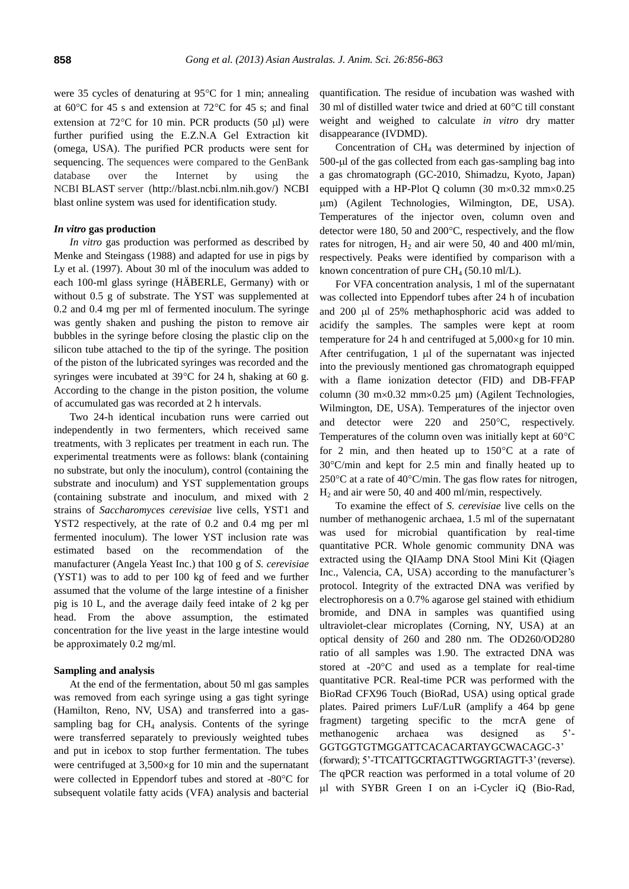were 35 cycles of denaturing at  $95^{\circ}$ C for 1 min; annealing at  $60^{\circ}$ C for 45 s and extension at  $72^{\circ}$ C for 45 s; and final extension at  $72^{\circ}$ C for 10 min. PCR products (50 µl) were further purified using the E.Z.N.A Gel Extraction kit (omega, USA). The purified PCR products were sent for sequencing. The sequences were compared to the GenBank database over the Internet by using the NCBI BLAST server (http://blast.ncbi.nlm.nih.gov/) NCBI blast online system was used for identification study.

#### *In vitro* **gas production**

*In vitro* gas production was performed as described by Menke and Steingass (1988) and adapted for use in pigs by Ly et al. (1997). About 30 ml of the inoculum was added to each 100-ml glass syringe (HÄ BERLE, Germany) with or without 0.5 g of substrate. The YST was supplemented at 0.2 and 0.4 mg per ml of fermented inoculum. The syringe was gently shaken and pushing the piston to remove air bubbles in the syringe before closing the plastic clip on the silicon tube attached to the tip of the syringe. The position of the piston of the lubricated syringes was recorded and the syringes were incubated at  $39^{\circ}$ C for 24 h, shaking at 60 g. According to the change in the piston position, the volume of accumulated gas was recorded at 2 h intervals.

Two 24-h identical incubation runs were carried out independently in two fermenters, which received same treatments, with 3 replicates per treatment in each run. The experimental treatments were as follows: blank (containing no substrate, but only the inoculum), control (containing the substrate and inoculum) and YST supplementation groups (containing substrate and inoculum, and mixed with 2 strains of *Saccharomyces cerevisiae* live cells, YST1 and YST2 respectively, at the rate of 0.2 and 0.4 mg per ml fermented inoculum). The lower YST inclusion rate was estimated based on the recommendation of the manufacturer (Angela Yeast Inc.) that 100 g of *S. cerevisiae* (YST1) was to add to per 100 kg of feed and we further assumed that the volume of the large intestine of a finisher pig is 10 L, and the average daily feed intake of 2 kg per head. From the above assumption, the estimated concentration for the live yeast in the large intestine would be approximately 0.2 mg/ml.

#### **Sampling and analysis**

At the end of the fermentation, about 50 ml gas samples was removed from each syringe using a gas tight syringe (Hamilton, Reno, NV, USA) and transferred into a gassampling bag for  $CH_4$  analysis. Contents of the syringe were transferred separately to previously weighted tubes and put in icebox to stop further fermentation. The tubes were centrifuged at  $3,500 \times g$  for 10 min and the supernatant were collected in Eppendorf tubes and stored at -80°C for subsequent volatile fatty acids (VFA) analysis and bacterial quantification. The residue of incubation was washed with 30 ml of distilled water twice and dried at  $60^{\circ}$ C till constant weight and weighed to calculate *in vitro* dry matter disappearance (IVDMD).

Concentration of CH<sup>4</sup> was determined by injection of  $500$ - $\mu$ l of the gas collected from each gas-sampling bag into a gas chromatograph (GC-2010, Shimadzu, Kyoto, Japan) equipped with a HP-Plot Q column (30 m $\times$ 0.32 mm $\times$ 0.25 m) (Agilent Technologies, Wilmington, DE, USA). Temperatures of the injector oven, column oven and detector were 180, 50 and  $200^{\circ}$ C, respectively, and the flow rates for nitrogen,  $H_2$  and air were 50, 40 and 400 ml/min, respectively. Peaks were identified by comparison with a known concentration of pure CH<sub>4</sub> (50.10 ml/L).

For VFA concentration analysis, 1 ml of the supernatant was collected into Eppendorf tubes after 24 h of incubation and 200 ul of 25% methaphosphoric acid was added to acidify the samples. The samples were kept at room temperature for 24 h and centrifuged at  $5,000 \times g$  for 10 min. After centrifugation,  $1 \mu l$  of the supernatant was injected into the previously mentioned gas chromatograph equipped with a flame ionization detector (FID) and DB-FFAP column (30 m×0.32 mm×0.25  $\mu$ m) (Agilent Technologies, Wilmington, DE, USA). Temperatures of the injector oven and detector were 220 and 250°C, respectively. Temperatures of the column oven was initially kept at  $60^{\circ}$ C for 2 min, and then heated up to  $150^{\circ}$ C at a rate of  $30^{\circ}$ C/min and kept for 2.5 min and finally heated up to 250 $\degree$ C at a rate of 40 $\degree$ C/min. The gas flow rates for nitrogen,  $H<sub>2</sub>$  and air were 50, 40 and 400 ml/min, respectively.

To examine the effect of *S. cerevisiae* live cells on the number of methanogenic archaea, 1.5 ml of the supernatant was used for microbial quantification by real-time quantitative PCR. Whole genomic community DNA was extracted using the QIAamp DNA Stool Mini Kit (Qiagen Inc., Valencia, CA, USA) according to the manufacturer's protocol. Integrity of the extracted DNA was verified by electrophoresis on a 0.7% agarose gel stained with ethidium bromide, and DNA in samples was quantified using ultraviolet-clear microplates (Corning, NY, USA) at an optical density of 260 and 280 nm. The OD260/OD280 ratio of all samples was 1.90. The extracted DNA was stored at  $-20^{\circ}$ C and used as a template for real-time quantitative PCR. Real-time PCR was performed with the BioRad CFX96 Touch (BioRad, USA) using optical grade plates. Paired primers LuF/LuR (amplify a 464 bp gene fragment) targeting specific to the mcrA gene of methanogenic archaea was designed as 5'- GGTGGTGTMGGATTCACACARTAYGCWACAGC-3'

(forward); 5'-TTCATTGCRTAGTTWGGRTAGTT-3' (reverse). The qPCR reaction was performed in a total volume of 20 l with SYBR Green I on an i-Cycler iQ (Bio-Rad,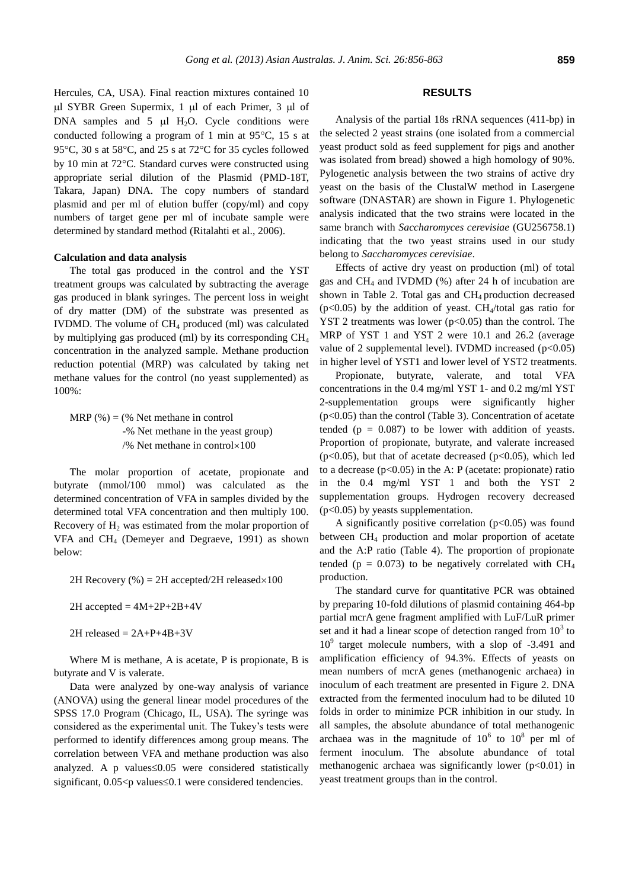Hercules, CA, USA). Final reaction mixtures contained 10  $\mu$ l SYBR Green Supermix, 1  $\mu$ l of each Primer, 3  $\mu$ l of DNA samples and  $5 \mu l$  H<sub>2</sub>O. Cycle conditions were conducted following a program of 1 min at  $95^{\circ}$ C, 15 s at 95 $\degree$ C, 30 s at 58 $\degree$ C, and 25 s at 72 $\degree$ C for 35 cycles followed by 10 min at 72°C. Standard curves were constructed using appropriate serial dilution of the Plasmid (PMD-18T, Takara, Japan) DNA. The copy numbers of standard plasmid and per ml of elution buffer (copy/ml) and copy numbers of target gene per ml of incubate sample were determined by standard method (Ritalahti et al., 2006).

#### **Calculation and data analysis**

The total gas produced in the control and the YST treatment groups was calculated by subtracting the average gas produced in blank syringes. The percent loss in weight of dry matter (DM) of the substrate was presented as IVDMD. The volume of CH<sup>4</sup> produced (ml) was calculated by multiplying gas produced (ml) by its corresponding  $CH<sub>4</sub>$ concentration in the analyzed sample. Methane production reduction potential (MRP) was calculated by taking net methane values for the control (no yeast supplemented) as 100%:

MRP  $(\%) = (\%$  Net methane in control -% Net methane in the yeast group) /% Net methane in control $\times100$ 

The molar proportion of acetate, propionate and butyrate (mmol/100 mmol) was calculated as the determined concentration of VFA in samples divided by the determined total VFA concentration and then multiply 100. Recovery of  $H_2$  was estimated from the molar proportion of VFA and CH<sup>4</sup> (Demeyer and Degraeve, 1991) as shown below:

2H Recovery (%) = 2H accepted/2H released $\times$ 100

 $2H$  accepted =  $4M+2P+2B+4V$ 

 $2H$  released =  $2A+P+4B+3V$ 

Where M is methane, A is acetate, P is propionate, B is butyrate and V is valerate.

Data were analyzed by one-way analysis of variance (ANOVA) using the general linear model procedures of the SPSS 17.0 Program (Chicago, IL, USA). The syringe was considered as the experimental unit. The Tukey's tests were performed to identify differences among group means. The correlation between VFA and methane production was also analyzed. A p values $\leq 0.05$  were considered statistically significant,  $0.05 < p$  values  $\leq 0.1$  were considered tendencies.

### **RESULTS**

Analysis of the partial 18s rRNA sequences (411-bp) in the selected 2 yeast strains (one isolated from a commercial yeast product sold as feed supplement for pigs and another was isolated from bread) showed a high homology of 90%. Pylogenetic analysis between the two strains of active dry yeast on the basis of the ClustalW method in Lasergene software (DNASTAR) are shown in Figure 1. Phylogenetic analysis indicated that the two strains were located in the same branch with *Saccharomyces cerevisiae* (GU256758.1) indicating that the two yeast strains used in our study belong to *Saccharomyces cerevisiae*.

Effects of active dry yeast on production (ml) of total gas and  $CH_4$  and IVDMD (%) after 24 h of incubation are shown in Table 2. Total gas and CH<sub>4</sub> production decreased ( $p<0.05$ ) by the addition of yeast. CH<sub>4</sub>/total gas ratio for YST 2 treatments was lower  $(p<0.05)$  than the control. The MRP of YST 1 and YST 2 were 10.1 and 26.2 (average value of 2 supplemental level). IVDMD increased  $(p<0.05)$ in higher level of YST1 and lower level of YST2 treatments.

Propionate, butyrate, valerate, and total VFA concentrations in the 0.4 mg/ml YST 1- and 0.2 mg/ml YST 2-supplementation groups were significantly higher (p<0.05) than the control (Table 3). Concentration of acetate tended ( $p = 0.087$ ) to be lower with addition of yeasts. Proportion of propionate, butyrate, and valerate increased ( $p<0.05$ ), but that of acetate decreased ( $p<0.05$ ), which led to a decrease  $(p<0.05)$  in the A: P (acetate: propionate) ratio in the 0.4 mg/ml YST 1 and both the YST 2 supplementation groups. Hydrogen recovery decreased (p<0.05) by yeasts supplementation.

A significantly positive correlation  $(p<0.05)$  was found between CH<sup>4</sup> production and molar proportion of acetate and the A:P ratio (Table 4). The proportion of propionate tended ( $p = 0.073$ ) to be negatively correlated with CH<sub>4</sub> production.

The standard curve for quantitative PCR was obtained by preparing 10-fold dilutions of plasmid containing 464-bp partial mcrA gene fragment amplified with LuF/LuR primer set and it had a linear scope of detection ranged from  $10<sup>3</sup>$  to 10<sup>9</sup> target molecule numbers, with a slop of -3.491 and amplification efficiency of 94.3%. Effects of yeasts on mean numbers of mcrA genes (methanogenic archaea) in inoculum of each treatment are presented in Figure 2. DNA extracted from the fermented inoculum had to be diluted 10 folds in order to minimize PCR inhibition in our study. In all samples, the absolute abundance of total methanogenic archaea was in the magnitude of  $10^6$  to  $10^8$  per ml of ferment inoculum. The absolute abundance of total methanogenic archaea was significantly lower ( $p<0.01$ ) in yeast treatment groups than in the control.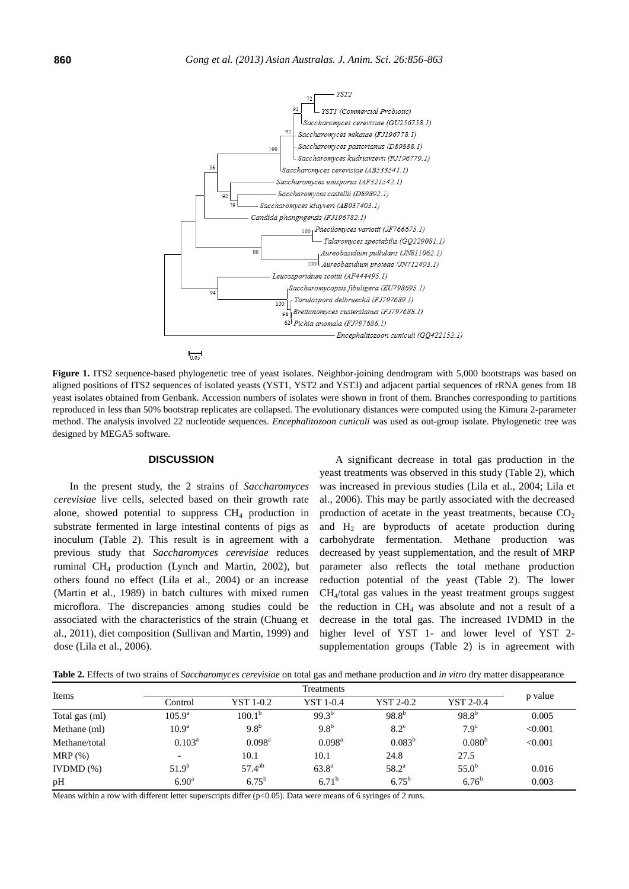

**Figure 1.** ITS2 sequence-based phylogenetic tree of yeast isolates. Neighbor-joining dendrogram with 5,000 bootstraps was based on aligned positions of ITS2 sequences of isolated yeasts (YST1, YST2 and YST3) and adjacent partial sequences of rRNA genes from 18 yeast isolates obtained from Genbank. Accession numbers of isolates were shown in front of them. Branches corresponding to partitions reproduced in less than 50% bootstrap replicates are collapsed. The evolutionary distances were computed using the Kimura 2-parameter method. The analysis involved 22 nucleotide sequences. *Encephalitozoon cuniculi* was used as out-group isolate. Phylogenetic tree was designed by MEGA5 software.

#### **DISCUSSION**

In the present study, the 2 strains of *Saccharomyces cerevisiae* live cells, selected based on their growth rate alone, showed potential to suppress  $CH<sub>4</sub>$  production in substrate fermented in large intestinal contents of pigs as inoculum (Table 2). This result is in agreement with a previous study that *Saccharomyces cerevisiae* reduces ruminal CH<sup>4</sup> production (Lynch and Martin, 2002), but others found no effect (Lila et al., 2004) or an increase (Martin et al., 1989) in batch cultures with mixed rumen microflora. The discrepancies among studies could be associated with the characteristics of the strain (Chuang et al., 2011), diet composition (Sullivan and Martin, 1999) and dose (Lila et al., 2006).

A significant decrease in total gas production in the yeast treatments was observed in this study (Table 2), which was increased in previous studies (Lila et al., 2004; Lila et al., 2006). This may be partly associated with the decreased production of acetate in the yeast treatments, because  $CO<sub>2</sub>$ and  $H_2$  are byproducts of acetate production during carbohydrate fermentation. Methane production was decreased by yeast supplementation, and the result of MRP parameter also reflects the total methane production reduction potential of the yeast (Table 2). The lower CH4/total gas values in the yeast treatment groups suggest the reduction in  $CH_4$  was absolute and not a result of a decrease in the total gas. The increased IVDMD in the higher level of YST 1- and lower level of YST 2 supplementation groups (Table 2) is in agreement with

**Table 2.** Effects of two strains of *Saccharomyces cerevisiae* on total gas and methane production and *in vitro* dry matter disappearance

| Items          |                   |                    |                    |                |             |         |
|----------------|-------------------|--------------------|--------------------|----------------|-------------|---------|
|                | Control           | <b>YST 1-0.2</b>   | YST 1-0.4          | YST 2-0.2      | YST 2-0.4   | p value |
| Total gas (ml) | $105.9^{\rm a}$   | $100.1^{\circ}$    | $99.3^{b}$         | $98.8^{b}$     | $98.8^{b}$  | 0.005   |
| Methane (ml)   | 10.9 <sup>a</sup> | 9.8 <sup>b</sup>   | 9.8 <sup>b</sup>   | $8.2^{\circ}$  | $7.9^\circ$ | < 0.001 |
| Methane/total  | $0.103^a$         | $0.098^{\text{a}}$ | $0.098^{\text{a}}$ | $0.083^{b}$    | $0.080^{b}$ | < 0.001 |
| $MRP(\%)$      |                   | 10.1               | 10.1               | 24.8           | 27.5        |         |
| IVDMD $(\%)$   | $51.9^{b}$        | $57.4^{ab}$        | $63.8^{\rm a}$     | $58.2^{\rm a}$ | $55.0^{b}$  | 0.016   |
| pH             | 6.90 <sup>a</sup> | $6.75^{b}$         | $6.71^{b}$         | $6.75^{b}$     | $6.76^{b}$  | 0.003   |

Means within a row with different letter superscripts differ (p<0.05). Data were means of 6 syringes of 2 runs.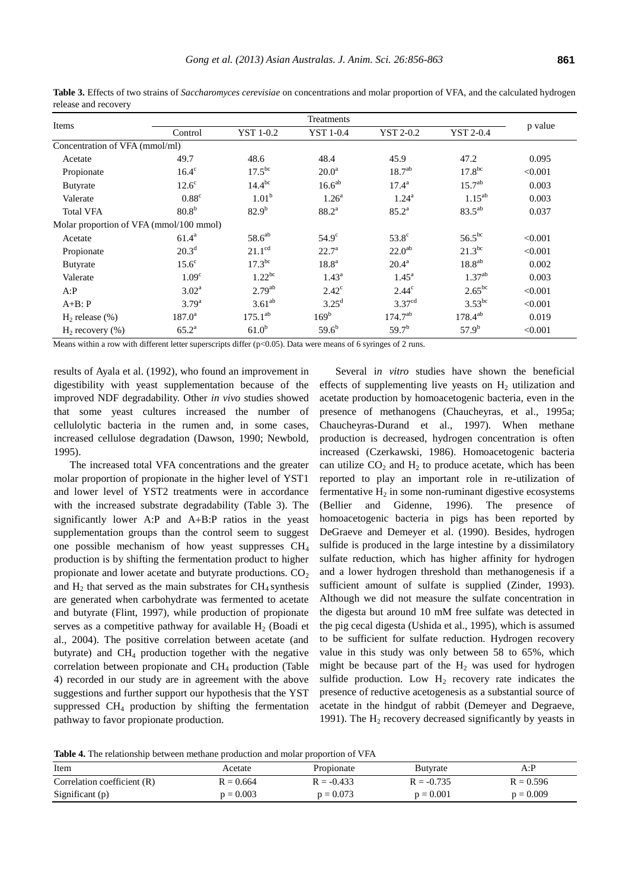| Items                                   | Treatments        |                    |                    |                    |                    |         |
|-----------------------------------------|-------------------|--------------------|--------------------|--------------------|--------------------|---------|
|                                         | Control           | <b>YST 1-0.2</b>   | <b>YST 1-0.4</b>   | YST 2-0.2          | <b>YST 2-0.4</b>   | p value |
| Concentration of VFA (mmol/ml)          |                   |                    |                    |                    |                    |         |
| Acetate                                 | 49.7              | 48.6               | 48.4               | 45.9               | 47.2               | 0.095   |
| Propionate                              | $16.4^\circ$      | $17.5^{bc}$        | 20.0 <sup>a</sup>  | 18.7 <sup>ab</sup> | 17.8 <sup>bc</sup> | < 0.001 |
| Butyrate                                | $12.6^{\circ}$    | $14.4^{bc}$        | 16.6 <sup>ab</sup> | $17.4^{\rm a}$     | $15.7^{ab}$        | 0.003   |
| Valerate                                | $0.88^{\circ}$    | 1.01 <sup>b</sup>  | 1.26 <sup>a</sup>  | $1.24^{\rm a}$     | $1.15^{ab}$        | 0.003   |
| <b>Total VFA</b>                        | 80.8 <sup>b</sup> | $82.9^{b}$         | $88.2^{a}$         | $85.2^{\rm a}$     | $83.5^{ab}$        | 0.037   |
| Molar proportion of VFA (mmol/100 mmol) |                   |                    |                    |                    |                    |         |
| Acetate                                 | $61.4^a$          | $58.6^{ab}$        | $54.9^\circ$       | $53.8^\circ$       | $56.5^{bc}$        | < 0.001 |
| Propionate                              | 20.3 <sup>d</sup> | $21.1^{\text{cd}}$ | $22.7^{\circ}$     | 22.0 <sup>ab</sup> | $21.3^{bc}$        | < 0.001 |
| <b>Butyrate</b>                         | $15.6^\circ$      | 17.3 <sup>bc</sup> | 18.8 <sup>a</sup>  | $20.4^{\rm a}$     | $18.8^{ab}$        | 0.002   |
| Valerate                                | 1.09 <sup>c</sup> | $1.22^{bc}$        | $1.43^{\rm a}$     | $1.45^{\rm a}$     | $1.37^{ab}$        | 0.003   |
| A: P                                    | $3.02^a$          | $2.79^{ab}$        | $2.42^{\circ}$     | $2.44^{\circ}$     | $2.65^{bc}$        | < 0.001 |
| $A+B$ : $P$                             | $3.79^{a}$        | $3.61^{ab}$        | $3.25^{\rm d}$     | 3.37 <sup>cd</sup> | $3.53^{bc}$        | < 0.001 |
| $H2$ release $(\%)$                     | $187.0^a$         | $175.1^{ab}$       | 169 <sup>b</sup>   | $174.7^{ab}$       | $178.4^{ab}$       | 0.019   |
| $H2$ recovery $(\%)$                    | $65.2^{\rm a}$    | 61.0 <sup>b</sup>  | $59.6^{b}$         | $59.7^{b}$         | $57.9^{b}$         | < 0.001 |

**Table 3.** Effects of two strains of *Saccharomyces cerevisiae* on concentrations and molar proportion of VFA, and the calculated hydrogen release and recovery

Means within a row with different letter superscripts differ ( $p<0.05$ ). Data were means of 6 syringes of 2 runs.

results of Ayala et al. (1992), who found an improvement in digestibility with yeast supplementation because of the improved NDF degradability. Other *in vivo* studies showed that some yeast cultures increased the number of cellulolytic bacteria in the rumen and, in some cases, increased cellulose degradation (Dawson, 1990; Newbold, 1995).

The increased total VFA concentrations and the greater molar proportion of propionate in the higher level of YST1 and lower level of YST2 treatments were in accordance with the increased substrate degradability (Table 3). The significantly lower A:P and  $A+B:P$  ratios in the yeast supplementation groups than the control seem to suggest one possible mechanism of how yeast suppresses CH<sup>4</sup> production is by shifting the fermentation product to higher propionate and lower acetate and butyrate productions.  $CO<sub>2</sub>$ and  $H_2$  that served as the main substrates for  $CH_4$  synthesis are generated when carbohydrate was fermented to acetate and butyrate (Flint, 1997), while production of propionate serves as a competitive pathway for available  $H_2$  (Boadi et al., 2004). The positive correlation between acetate (and butyrate) and  $CH<sub>4</sub>$  production together with the negative correlation between propionate and  $CH<sub>4</sub>$  production (Table 4) recorded in our study are in agreement with the above suggestions and further support our hypothesis that the YST suppressed  $CH_4$  production by shifting the fermentation pathway to favor propionate production.

Several i*n vitro* studies have shown the beneficial effects of supplementing live yeasts on  $H_2$  utilization and acetate production by homoacetogenic bacteria, even in the presence of methanogens (Chaucheyras, et al., 1995a; Chaucheyras-Durand et al., 1997). When methane production is decreased, hydrogen concentration is often increased (Czerkawski, 1986). Homoacetogenic bacteria can utilize  $CO<sub>2</sub>$  and  $H<sub>2</sub>$  to produce acetate, which has been reported to play an important role in re-utilization of fermentative  $H_2$  in some non-ruminant digestive ecosystems (Bellier and Gidenne, 1996). The presence of homoacetogenic bacteria in pigs has been reported by DeGraeve and Demeyer et al. (1990). Besides, hydrogen sulfide is produced in the large intestine by a dissimilatory sulfate reduction, which has higher affinity for hydrogen and a lower hydrogen threshold than methanogenesis if a sufficient amount of sulfate is supplied (Zinder, 1993). Although we did not measure the sulfate concentration in the digesta but around 10 mM free sulfate was detected in the pig cecal digesta (Ushida et al., 1995), which is assumed to be sufficient for sulfate reduction. Hydrogen recovery value in this study was only between 58 to 65%, which might be because part of the  $H_2$  was used for hydrogen sulfide production. Low  $H_2$  recovery rate indicates the presence of reductive acetogenesis as a substantial source of acetate in the hindgut of rabbit (Demeyer and Degraeve, 1991). The  $H_2$  recovery decreased significantly by yeasts in

**Table 4.** The relationship between methane production and molar proportion of VFA

| Item                          | Acetate     | Propionate   | Butvrate     | A: P        |
|-------------------------------|-------------|--------------|--------------|-------------|
| Correlation coefficient $(R)$ | $R = 0.664$ | $R = -0.433$ | $R = -0.735$ | $R = 0.596$ |
| Significant (p)               | $p = 0.003$ | $p = 0.073$  | $p = 0.001$  | $p = 0.009$ |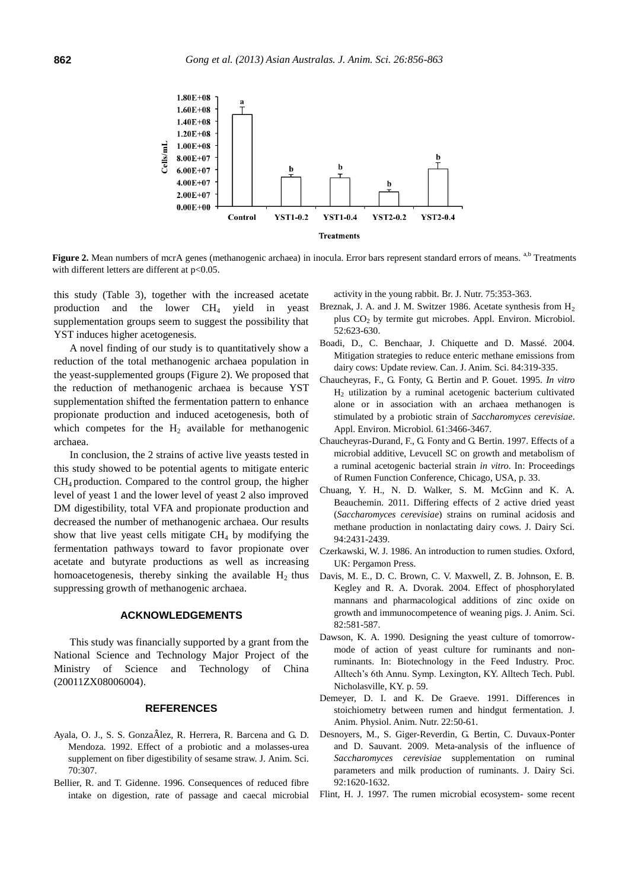

**Figure 2.** Mean numbers of mcrA genes (methanogenic archaea) in inocula. Error bars represent standard errors of means. <sup>a,b</sup> Treatments with different letters are different at p<0.05.

this study (Table 3), together with the increased acetate production and the lower CH<sup>4</sup> yield in yeast supplementation groups seem to suggest the possibility that YST induces higher acetogenesis.

A novel finding of our study is to quantitatively show a reduction of the total methanogenic archaea population in the yeast-supplemented groups (Figure 2). We proposed that the reduction of methanogenic archaea is because YST supplementation shifted the fermentation pattern to enhance propionate production and induced acetogenesis, both of which competes for the  $H_2$  available for methanogenic archaea.

In conclusion, the 2 strains of active live yeasts tested in this study showed to be potential agents to mitigate enteric CH<sup>4</sup> production. Compared to the control group, the higher level of yeast 1 and the lower level of yeast 2 also improved DM digestibility, total VFA and propionate production and decreased the number of methanogenic archaea. Our results show that live yeast cells mitigate  $CH<sub>4</sub>$  by modifying the fermentation pathways toward to favor propionate over acetate and butyrate productions as well as increasing homoacetogenesis, thereby sinking the available  $H_2$  thus suppressing growth of methanogenic archaea.

#### **ACKNOWLEDGEMENTS**

This study was financially supported by a grant from the National Science and Technology Major Project of the Ministry of Science and Technology of China (20011ZX08006004).

#### **REFERENCES**

- Ayala, O. J., S. S. Gonza lez, R. Herrera, R. Barcena and G. D. Mendoza. 1992. Effect of a probiotic and a molasses-urea supplement on fiber digestibility of sesame straw. J. Anim. Sci. 70:307.
- Bellier, R. and T. Gidenne. 1996. Consequences of reduced fibre intake on digestion, rate of passage and caecal microbial

activity in the young rabbit. Br. J. Nutr. 75:353-363.

- Breznak, J. A. and J. M. Switzer 1986. Acetate synthesis from  $H_2$ plus CO<sup>2</sup> by termite gut microbes. Appl. Environ. Microbiol. 52:623-630.
- Boadi, D., C. Benchaar, J. Chiquette and D. Massé. 2004. Mitigation strategies to reduce enteric methane emissions from dairy cows: Update review. Can. J. Anim. Sci. 84:319-335.
- Chaucheyras, F., G. Fonty, G. Bertin and P. Gouet. 1995. *In vitro* H<sup>2</sup> utilization by a ruminal acetogenic bacterium cultivated alone or in association with an archaea methanogen is stimulated by a probiotic strain of *Saccharomyces cerevisiae*. Appl. Environ. Microbiol. 61:3466-3467.
- Chaucheyras-Durand, F., G. Fonty and G. Bertin. 1997. Effects of a microbial additive, Levucell SC on growth and metabolism of a ruminal acetogenic bacterial strain *in vitro*. In: Proceedings of Rumen Function Conference, Chicago, USA, p. 33.
- Chuang, Y. H., N. D. Walker, S. M. McGinn and K. A. Beauchemin. 2011. Differing effects of 2 active dried yeast (*Saccharomyces cerevisiae*) strains on ruminal acidosis and methane production in nonlactating dairy cows. J. Dairy Sci. 94:2431-2439.
- Czerkawski, W. J. 1986. An introduction to rumen studies. Oxford, UK: Pergamon Press.
- Davis, M. E., D. C. Brown, C. V. Maxwell, Z. B. Johnson, E. B. Kegley and R. A. Dvorak. 2004. Effect of phosphorylated mannans and pharmacological additions of zinc oxide on growth and immunocompetence of weaning pigs. J. Anim. Sci. 82:581-587.
- Dawson, K. A. 1990. Designing the yeast culture of tomorrowmode of action of yeast culture for ruminants and nonruminants. In: Biotechnology in the Feed Industry. Proc. Alltech's 6th Annu. Symp. Lexington, KY. Alltech Tech. Publ. Nicholasville, KY. p. 59.
- Demeyer, D. I. and K. De Graeve. 1991. Differences in stoichiometry between rumen and hindgut fermentation. J. Anim. Physiol. Anim. Nutr. 22:50-61.
- Desnoyers, M., S. Giger-Reverdin, G. Bertin, C. Duvaux-Ponter and D. Sauvant. 2009. Meta-analysis of the influence of *Saccharomyces cerevisiae* supplementation on ruminal parameters and milk production of ruminants. J. Dairy Sci. 92:1620-1632.
- Flint, H. J. 1997. The rumen microbial ecosystem- some recent